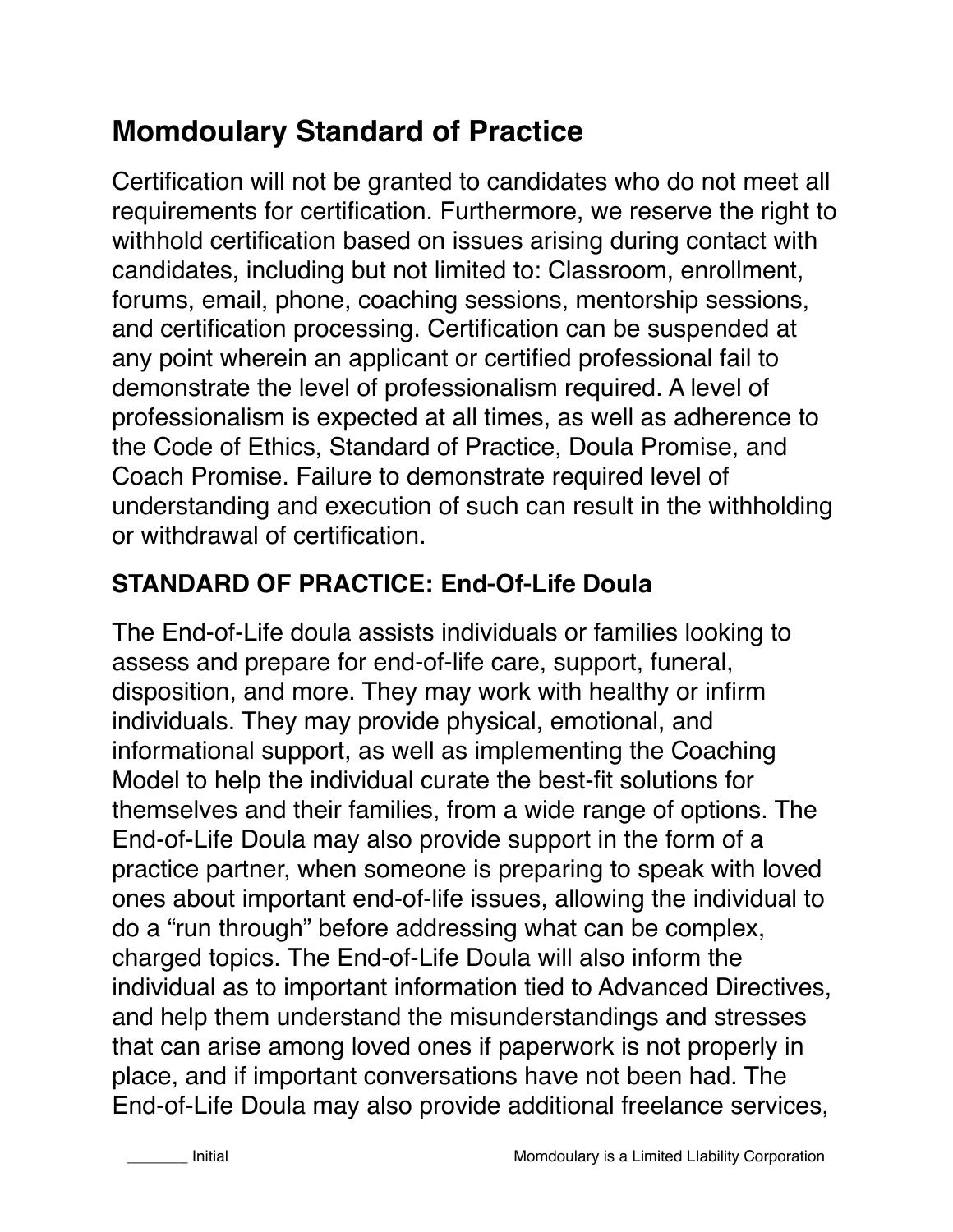# **Momdoulary Standard of Practice**

Certification will not be granted to candidates who do not meet all requirements for certification. Furthermore, we reserve the right to withhold certification based on issues arising during contact with candidates, including but not limited to: Classroom, enrollment, forums, email, phone, coaching sessions, mentorship sessions, and certification processing. Certification can be suspended at any point wherein an applicant or certified professional fail to demonstrate the level of professionalism required. A level of professionalism is expected at all times, as well as adherence to the Code of Ethics, Standard of Practice, Doula Promise, and Coach Promise. Failure to demonstrate required level of understanding and execution of such can result in the withholding or withdrawal of certification.

## **STANDARD OF PRACTICE: End-Of-Life Doula**

The End-of-Life doula assists individuals or families looking to assess and prepare for end-of-life care, support, funeral, disposition, and more. They may work with healthy or infirm individuals. They may provide physical, emotional, and informational support, as well as implementing the Coaching Model to help the individual curate the best-fit solutions for themselves and their families, from a wide range of options. The End-of-Life Doula may also provide support in the form of a practice partner, when someone is preparing to speak with loved ones about important end-of-life issues, allowing the individual to do a "run through" before addressing what can be complex, charged topics. The End-of-Life Doula will also inform the individual as to important information tied to Advanced Directives, and help them understand the misunderstandings and stresses that can arise among loved ones if paperwork is not properly in place, and if important conversations have not been had. The End-of-Life Doula may also provide additional freelance services,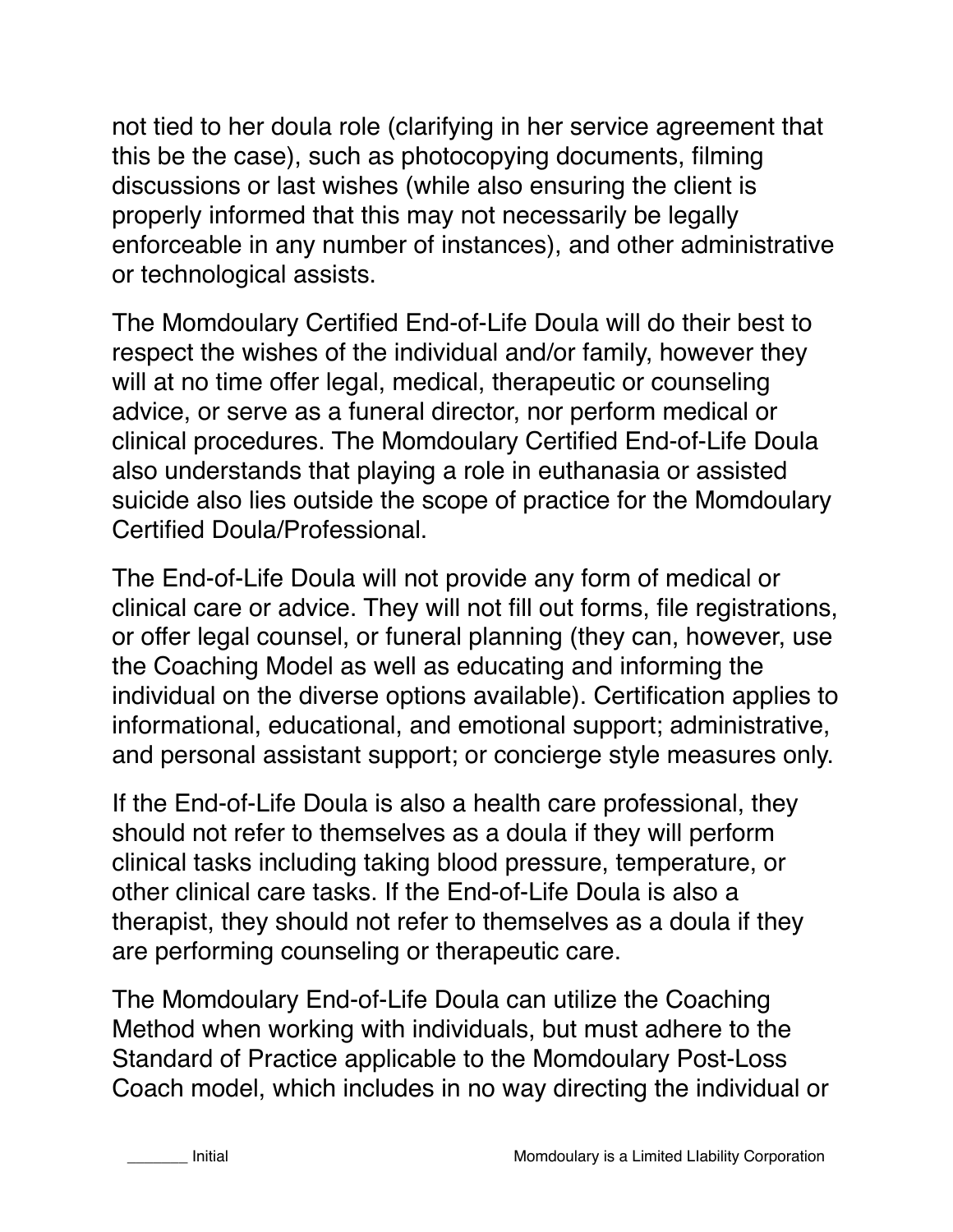not tied to her doula role (clarifying in her service agreement that this be the case), such as photocopying documents, filming discussions or last wishes (while also ensuring the client is properly informed that this may not necessarily be legally enforceable in any number of instances), and other administrative or technological assists.

The Momdoulary Certified End-of-Life Doula will do their best to respect the wishes of the individual and/or family, however they will at no time offer legal, medical, therapeutic or counseling advice, or serve as a funeral director, nor perform medical or clinical procedures. The Momdoulary Certified End-of-Life Doula also understands that playing a role in euthanasia or assisted suicide also lies outside the scope of practice for the Momdoulary Certified Doula/Professional.

The End-of-Life Doula will not provide any form of medical or clinical care or advice. They will not fill out forms, file registrations, or offer legal counsel, or funeral planning (they can, however, use the Coaching Model as well as educating and informing the individual on the diverse options available). Certification applies to informational, educational, and emotional support; administrative, and personal assistant support; or concierge style measures only.

If the End-of-Life Doula is also a health care professional, they should not refer to themselves as a doula if they will perform clinical tasks including taking blood pressure, temperature, or other clinical care tasks. If the End-of-Life Doula is also a therapist, they should not refer to themselves as a doula if they are performing counseling or therapeutic care.

The Momdoulary End-of-Life Doula can utilize the Coaching Method when working with individuals, but must adhere to the Standard of Practice applicable to the Momdoulary Post-Loss Coach model, which includes in no way directing the individual or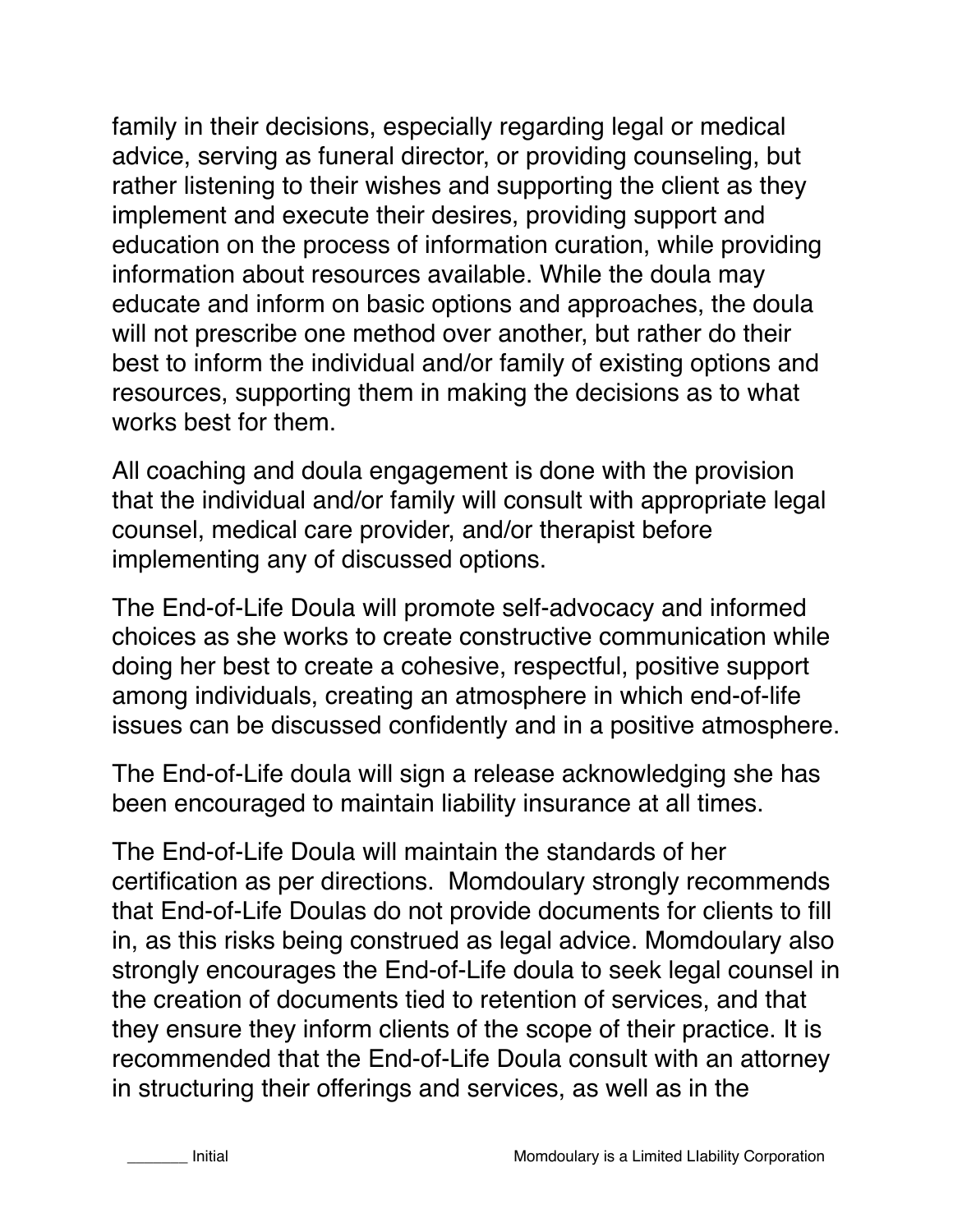family in their decisions, especially regarding legal or medical advice, serving as funeral director, or providing counseling, but rather listening to their wishes and supporting the client as they implement and execute their desires, providing support and education on the process of information curation, while providing information about resources available. While the doula may educate and inform on basic options and approaches, the doula will not prescribe one method over another, but rather do their best to inform the individual and/or family of existing options and resources, supporting them in making the decisions as to what works best for them.

All coaching and doula engagement is done with the provision that the individual and/or family will consult with appropriate legal counsel, medical care provider, and/or therapist before implementing any of discussed options.

The End-of-Life Doula will promote self-advocacy and informed choices as she works to create constructive communication while doing her best to create a cohesive, respectful, positive support among individuals, creating an atmosphere in which end-of-life issues can be discussed confidently and in a positive atmosphere.

The End-of-Life doula will sign a release acknowledging she has been encouraged to maintain liability insurance at all times.

The End-of-Life Doula will maintain the standards of her certification as per directions. Momdoulary strongly recommends that End-of-Life Doulas do not provide documents for clients to fill in, as this risks being construed as legal advice. Momdoulary also strongly encourages the End-of-Life doula to seek legal counsel in the creation of documents tied to retention of services, and that they ensure they inform clients of the scope of their practice. It is recommended that the End-of-Life Doula consult with an attorney in structuring their offerings and services, as well as in the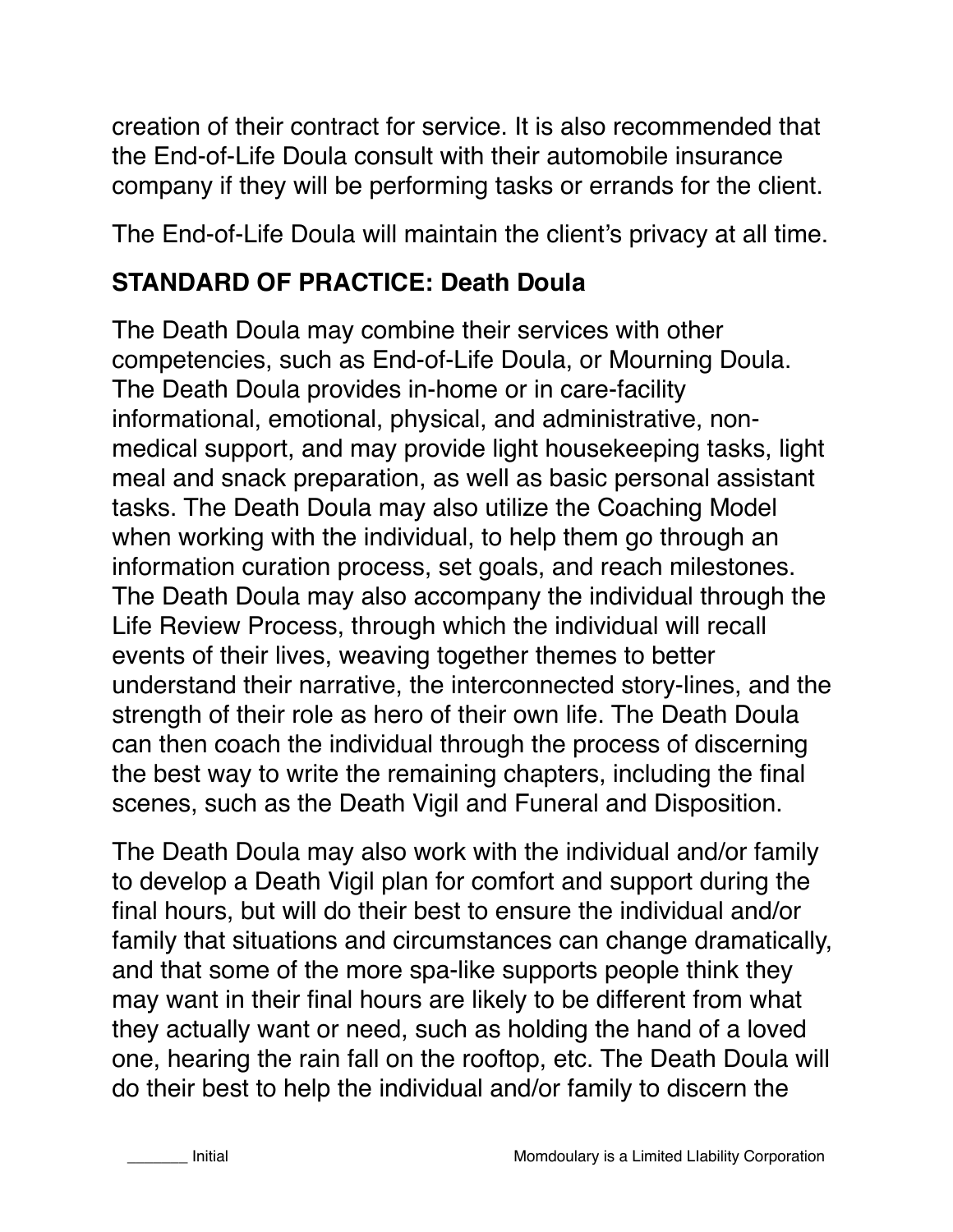creation of their contract for service. It is also recommended that the End-of-Life Doula consult with their automobile insurance company if they will be performing tasks or errands for the client.

The End-of-Life Doula will maintain the client's privacy at all time.

### **STANDARD OF PRACTICE: Death Doula**

The Death Doula may combine their services with other competencies, such as End-of-Life Doula, or Mourning Doula. The Death Doula provides in-home or in care-facility informational, emotional, physical, and administrative, nonmedical support, and may provide light housekeeping tasks, light meal and snack preparation, as well as basic personal assistant tasks. The Death Doula may also utilize the Coaching Model when working with the individual, to help them go through an information curation process, set goals, and reach milestones. The Death Doula may also accompany the individual through the Life Review Process, through which the individual will recall events of their lives, weaving together themes to better understand their narrative, the interconnected story-lines, and the strength of their role as hero of their own life. The Death Doula can then coach the individual through the process of discerning the best way to write the remaining chapters, including the final scenes, such as the Death Vigil and Funeral and Disposition.

The Death Doula may also work with the individual and/or family to develop a Death Vigil plan for comfort and support during the final hours, but will do their best to ensure the individual and/or family that situations and circumstances can change dramatically, and that some of the more spa-like supports people think they may want in their final hours are likely to be different from what they actually want or need, such as holding the hand of a loved one, hearing the rain fall on the rooftop, etc. The Death Doula will do their best to help the individual and/or family to discern the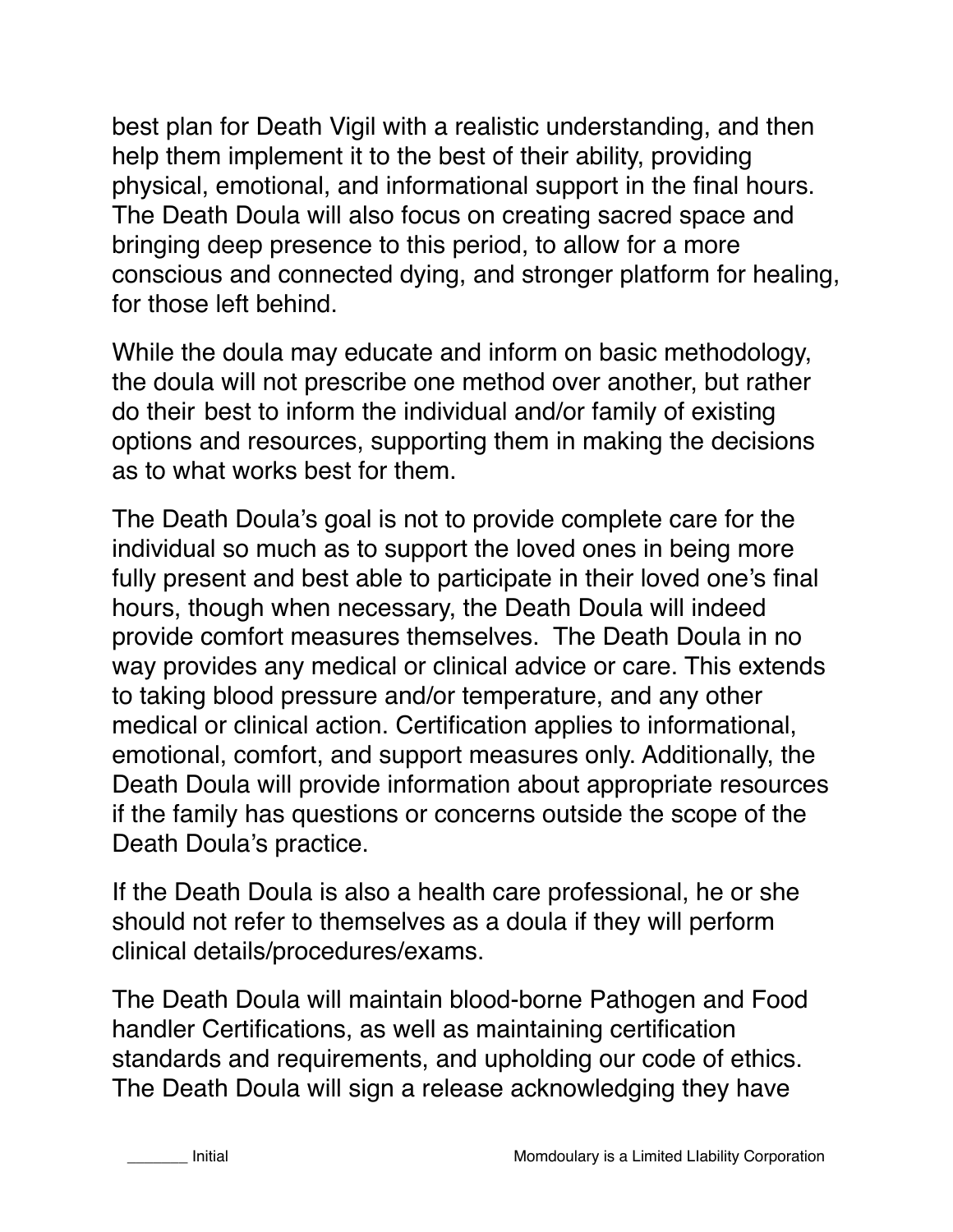best plan for Death Vigil with a realistic understanding, and then help them implement it to the best of their ability, providing physical, emotional, and informational support in the final hours. The Death Doula will also focus on creating sacred space and bringing deep presence to this period, to allow for a more conscious and connected dying, and stronger platform for healing, for those left behind.

While the doula may educate and inform on basic methodology, the doula will not prescribe one method over another, but rather do their best to inform the individual and/or family of existing options and resources, supporting them in making the decisions as to what works best for them.

The Death Doula's goal is not to provide complete care for the individual so much as to support the loved ones in being more fully present and best able to participate in their loved one's final hours, though when necessary, the Death Doula will indeed provide comfort measures themselves. The Death Doula in no way provides any medical or clinical advice or care. This extends to taking blood pressure and/or temperature, and any other medical or clinical action. Certification applies to informational, emotional, comfort, and support measures only. Additionally, the Death Doula will provide information about appropriate resources if the family has questions or concerns outside the scope of the Death Doula's practice.

If the Death Doula is also a health care professional, he or she should not refer to themselves as a doula if they will perform clinical details/procedures/exams.

The Death Doula will maintain blood-borne Pathogen and Food handler Certifications, as well as maintaining certification standards and requirements, and upholding our code of ethics. The Death Doula will sign a release acknowledging they have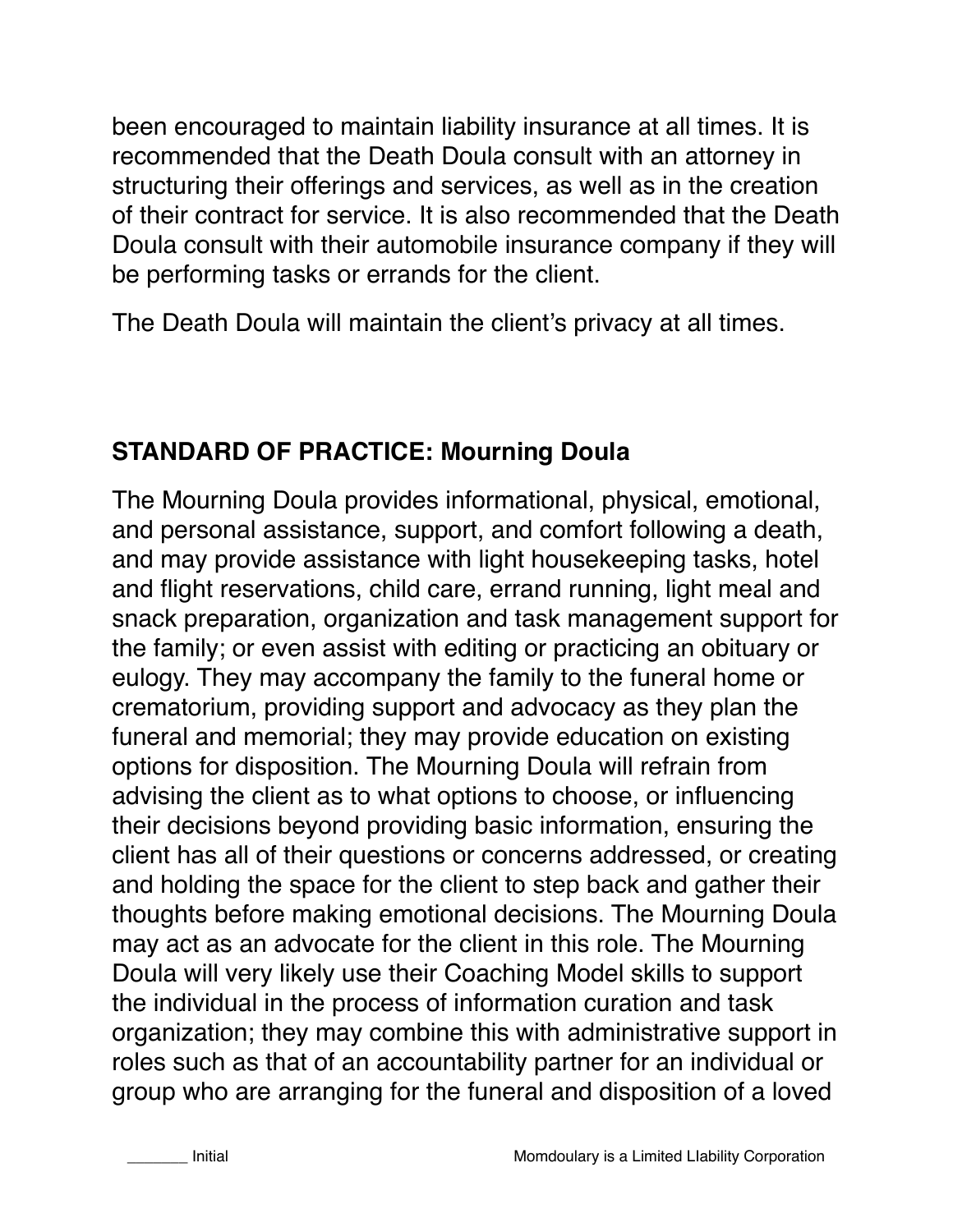been encouraged to maintain liability insurance at all times. It is recommended that the Death Doula consult with an attorney in structuring their offerings and services, as well as in the creation of their contract for service. It is also recommended that the Death Doula consult with their automobile insurance company if they will be performing tasks or errands for the client.

The Death Doula will maintain the client's privacy at all times.

### **STANDARD OF PRACTICE: Mourning Doula**

The Mourning Doula provides informational, physical, emotional, and personal assistance, support, and comfort following a death, and may provide assistance with light housekeeping tasks, hotel and flight reservations, child care, errand running, light meal and snack preparation, organization and task management support for the family; or even assist with editing or practicing an obituary or eulogy. They may accompany the family to the funeral home or crematorium, providing support and advocacy as they plan the funeral and memorial; they may provide education on existing options for disposition. The Mourning Doula will refrain from advising the client as to what options to choose, or influencing their decisions beyond providing basic information, ensuring the client has all of their questions or concerns addressed, or creating and holding the space for the client to step back and gather their thoughts before making emotional decisions. The Mourning Doula may act as an advocate for the client in this role. The Mourning Doula will very likely use their Coaching Model skills to support the individual in the process of information curation and task organization; they may combine this with administrative support in roles such as that of an accountability partner for an individual or group who are arranging for the funeral and disposition of a loved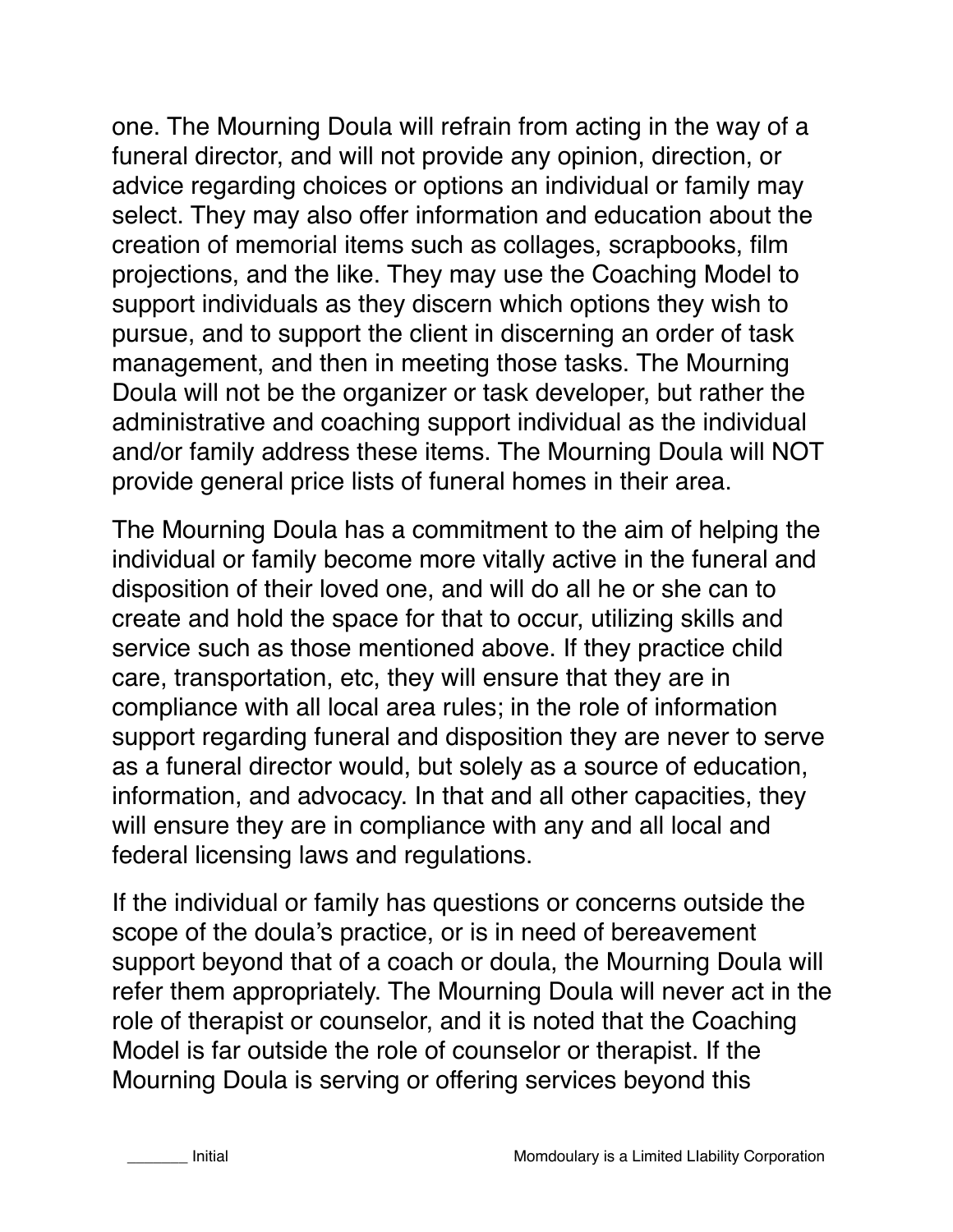one. The Mourning Doula will refrain from acting in the way of a funeral director, and will not provide any opinion, direction, or advice regarding choices or options an individual or family may select. They may also offer information and education about the creation of memorial items such as collages, scrapbooks, film projections, and the like. They may use the Coaching Model to support individuals as they discern which options they wish to pursue, and to support the client in discerning an order of task management, and then in meeting those tasks. The Mourning Doula will not be the organizer or task developer, but rather the administrative and coaching support individual as the individual and/or family address these items. The Mourning Doula will NOT provide general price lists of funeral homes in their area.

The Mourning Doula has a commitment to the aim of helping the individual or family become more vitally active in the funeral and disposition of their loved one, and will do all he or she can to create and hold the space for that to occur, utilizing skills and service such as those mentioned above. If they practice child care, transportation, etc, they will ensure that they are in compliance with all local area rules; in the role of information support regarding funeral and disposition they are never to serve as a funeral director would, but solely as a source of education, information, and advocacy. In that and all other capacities, they will ensure they are in compliance with any and all local and federal licensing laws and regulations.

If the individual or family has questions or concerns outside the scope of the doula's practice, or is in need of bereavement support beyond that of a coach or doula, the Mourning Doula will refer them appropriately. The Mourning Doula will never act in the role of therapist or counselor, and it is noted that the Coaching Model is far outside the role of counselor or therapist. If the Mourning Doula is serving or offering services beyond this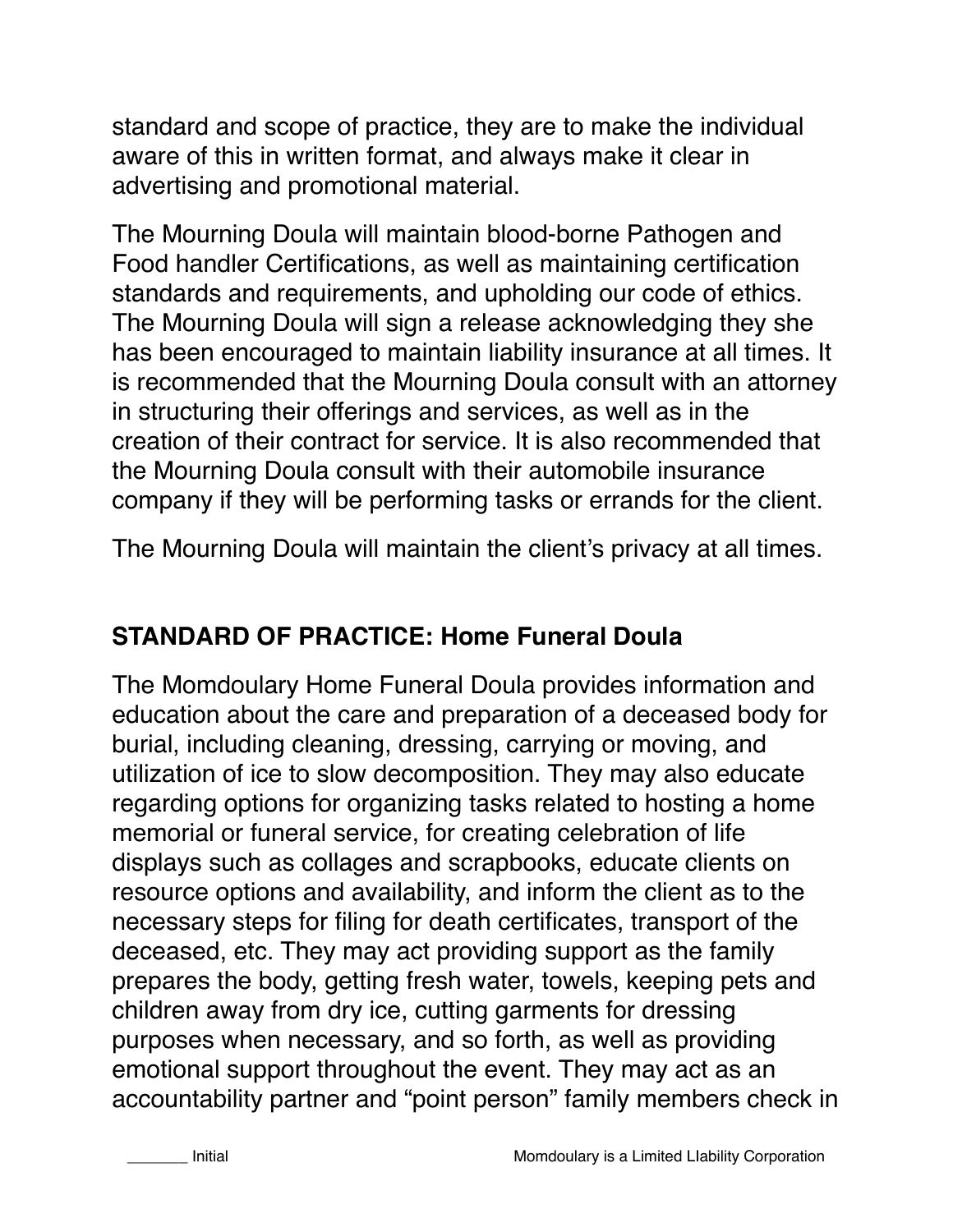standard and scope of practice, they are to make the individual aware of this in written format, and always make it clear in advertising and promotional material.

The Mourning Doula will maintain blood-borne Pathogen and Food handler Certifications, as well as maintaining certification standards and requirements, and upholding our code of ethics. The Mourning Doula will sign a release acknowledging they she has been encouraged to maintain liability insurance at all times. It is recommended that the Mourning Doula consult with an attorney in structuring their offerings and services, as well as in the creation of their contract for service. It is also recommended that the Mourning Doula consult with their automobile insurance company if they will be performing tasks or errands for the client.

The Mourning Doula will maintain the client's privacy at all times.

### **STANDARD OF PRACTICE: Home Funeral Doula**

The Momdoulary Home Funeral Doula provides information and education about the care and preparation of a deceased body for burial, including cleaning, dressing, carrying or moving, and utilization of ice to slow decomposition. They may also educate regarding options for organizing tasks related to hosting a home memorial or funeral service, for creating celebration of life displays such as collages and scrapbooks, educate clients on resource options and availability, and inform the client as to the necessary steps for filing for death certificates, transport of the deceased, etc. They may act providing support as the family prepares the body, getting fresh water, towels, keeping pets and children away from dry ice, cutting garments for dressing purposes when necessary, and so forth, as well as providing emotional support throughout the event. They may act as an accountability partner and "point person" family members check in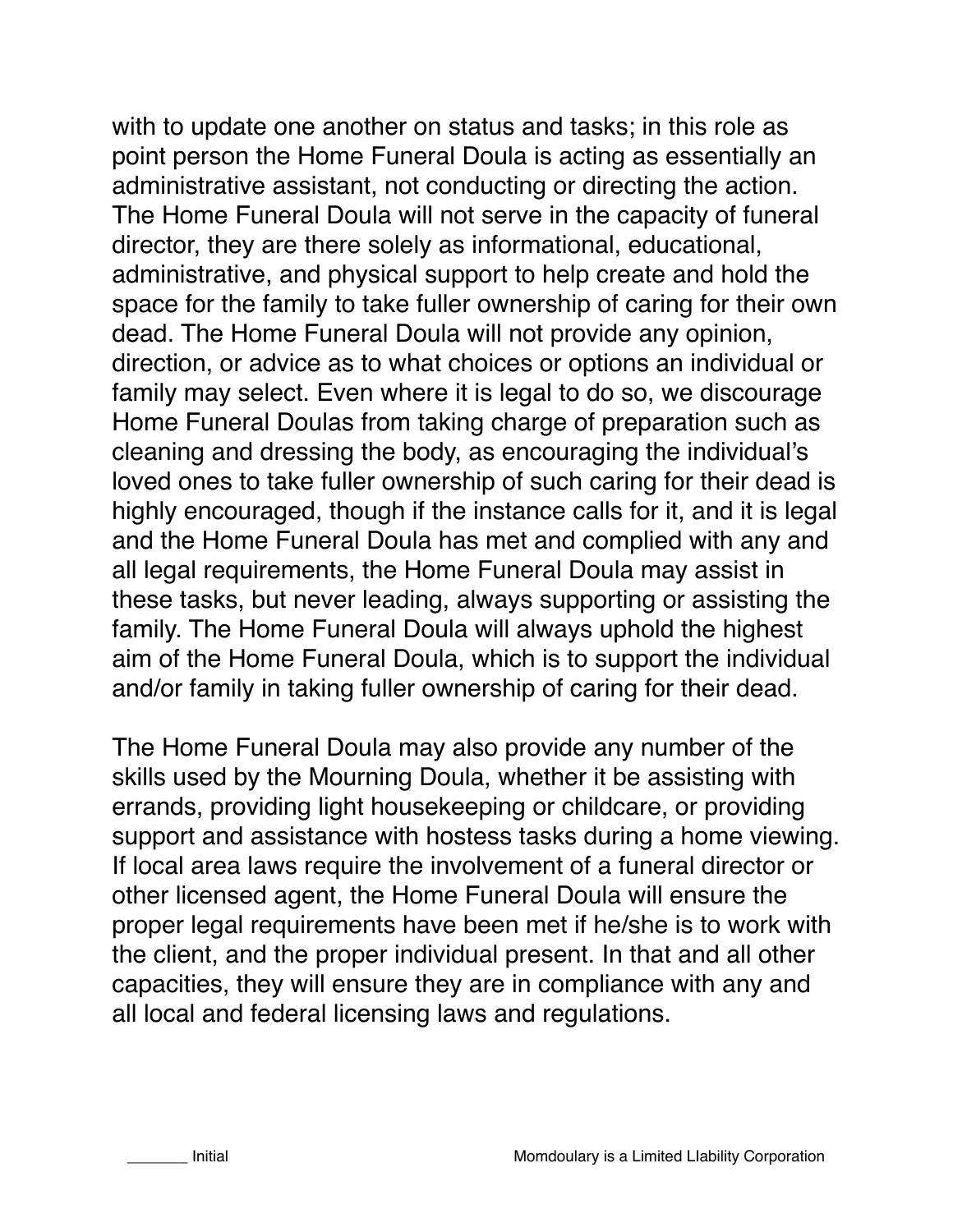with to update one another on status and tasks; in this role as point person the Home Funeral Doula is acting as essentially an administrative assistant, not conducting or directing the action. The Home Funeral Doula will not serve in the capacity of funeral director, they are there solely as informational, educational, administrative, and physical support to help create and hold the space for the family to take fuller ownership of caring for their own dead. The Home Funeral Doula will not provide any opinion, direction, or advice as to what choices or options an individual or family may select. Even where it is legal to do so, we discourage Home Funeral Doulas from taking charge of preparation such as cleaning and dressing the body, as encouraging the individual's loved ones to take fuller ownership of such caring for their dead is highly encouraged, though if the instance calls for it, and it is legal and the Home Funeral Doula has met and complied with any and all legal requirements, the Home Funeral Doula may assist in these tasks, but never leading, always supporting or assisting the family. The Home Funeral Doula will always uphold the highest aim of the Home Funeral Doula, which is to support the individual and/or family in taking fuller ownership of caring for their dead.

The Home Funeral Doula may also provide any number of the skills used by the Mourning Doula, whether it be assisting with errands, providing light housekeeping or childcare, or providing support and assistance with hostess tasks during a home viewing. If local area laws require the involvement of a funeral director or other licensed agent, the Home Funeral Doula will ensure the proper legal requirements have been met if he/she is to work with the client, and the proper individual present. In that and all other capacities, they will ensure they are in compliance with any and all local and federal licensing laws and regulations.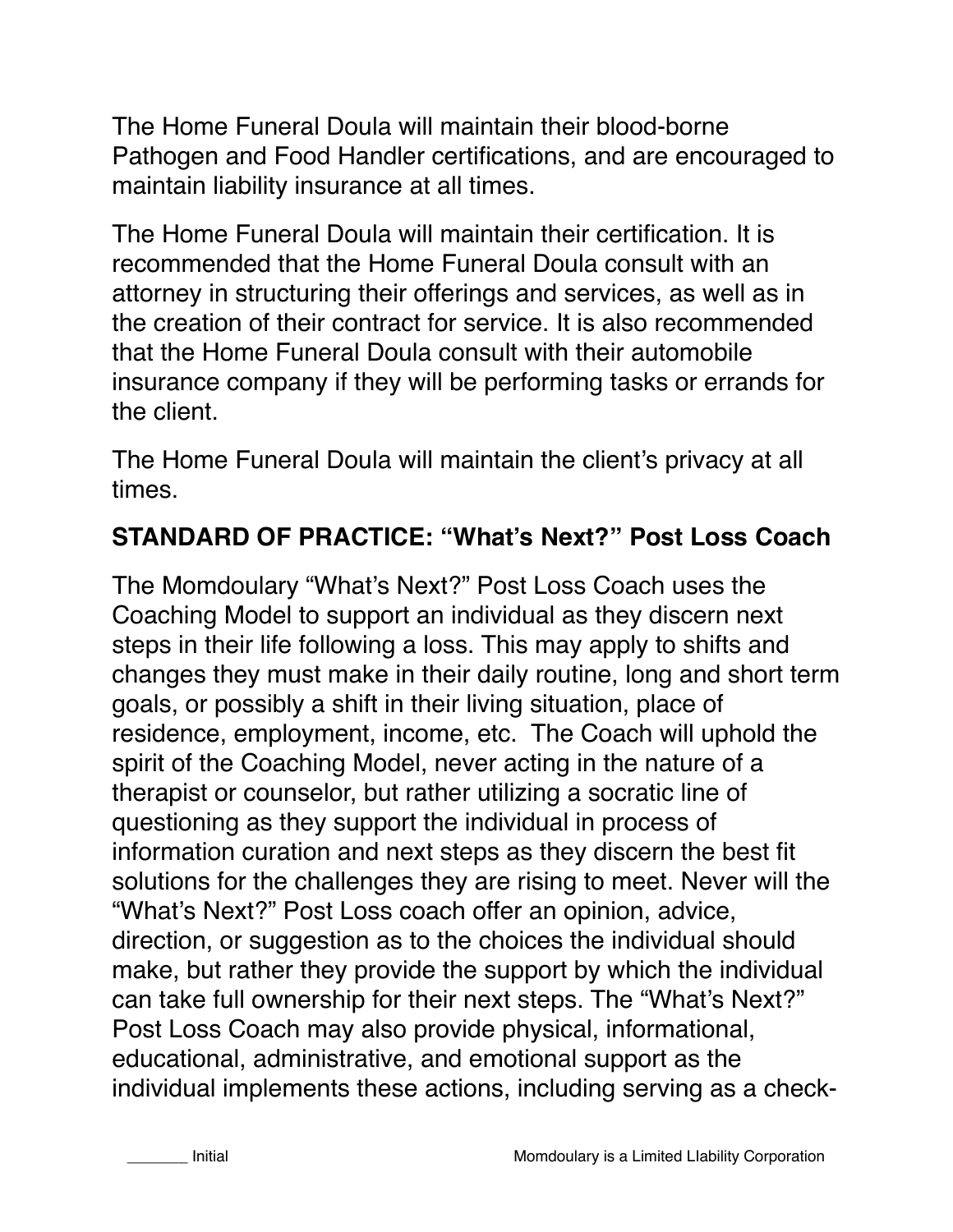The Home Funeral Doula will maintain their blood-borne Pathogen and Food Handler certifications, and are encouraged to maintain liability insurance at all times.

The Home Funeral Doula will maintain their certification. It is recommended that the Home Funeral Doula consult with an attorney in structuring their offerings and services, as well as in the creation of their contract for service. It is also recommended that the Home Funeral Doula consult with their automobile insurance company if they will be performing tasks or errands for the client.

The Home Funeral Doula will maintain the client's privacy at all times.

### **STANDARD OF PRACTICE: "What's Next?" Post Loss Coach**

The Momdoulary "What's Next?" Post Loss Coach uses the Coaching Model to support an individual as they discern next steps in their life following a loss. This may apply to shifts and changes they must make in their daily routine, long and short term goals, or possibly a shift in their living situation, place of residence, employment, income, etc. The Coach will uphold the spirit of the Coaching Model, never acting in the nature of a therapist or counselor, but rather utilizing a socratic line of questioning as they support the individual in process of information curation and next steps as they discern the best fit solutions for the challenges they are rising to meet. Never will the "What's Next?" Post Loss coach offer an opinion, advice, direction, or suggestion as to the choices the individual should make, but rather they provide the support by which the individual can take full ownership for their next steps. The "What's Next?" Post Loss Coach may also provide physical, informational, educational, administrative, and emotional support as the individual implements these actions, including serving as a check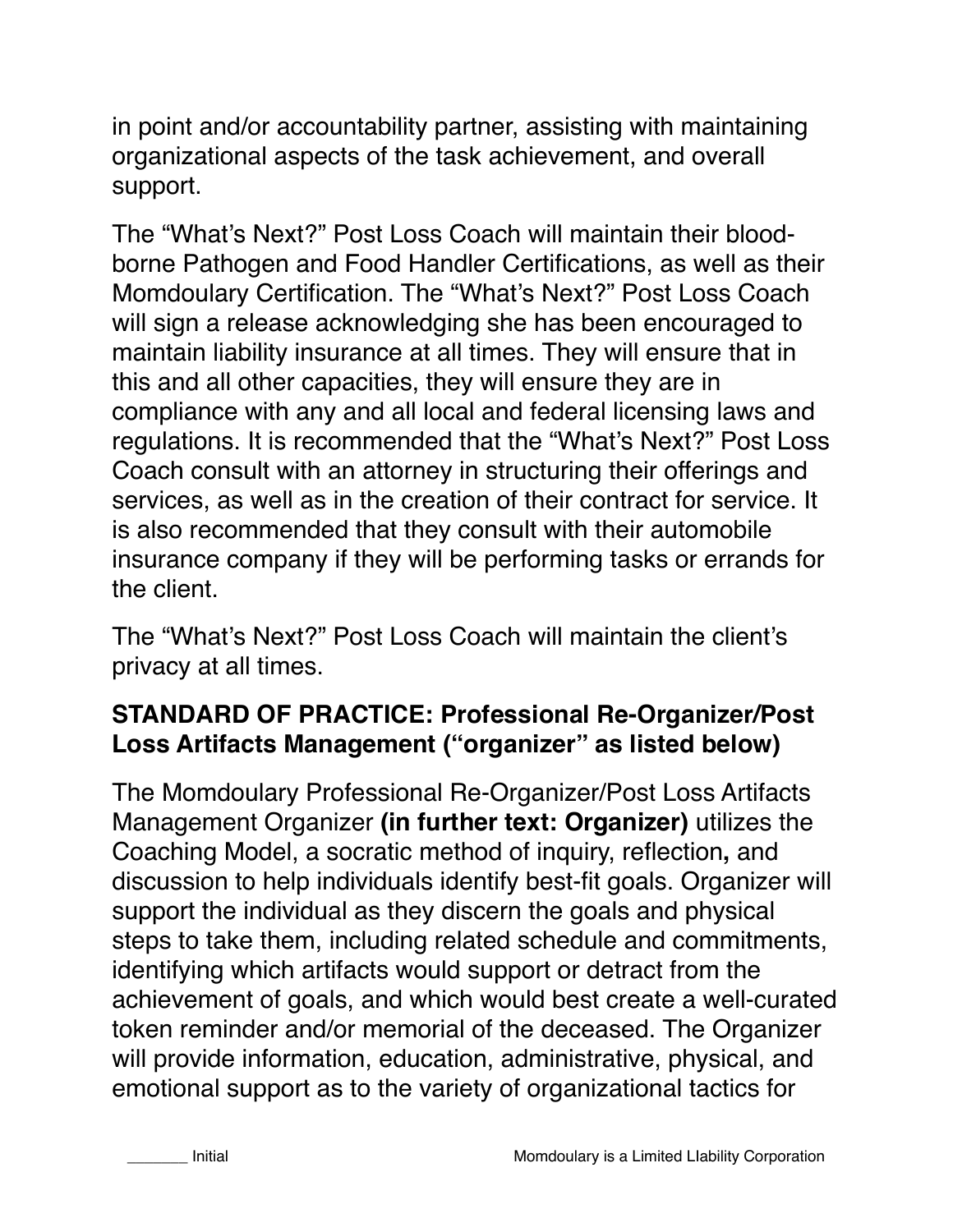in point and/or accountability partner, assisting with maintaining organizational aspects of the task achievement, and overall support.

The "What's Next?" Post Loss Coach will maintain their bloodborne Pathogen and Food Handler Certifications, as well as their Momdoulary Certification. The "What's Next?" Post Loss Coach will sign a release acknowledging she has been encouraged to maintain liability insurance at all times. They will ensure that in this and all other capacities, they will ensure they are in compliance with any and all local and federal licensing laws and regulations. It is recommended that the "What's Next?" Post Loss Coach consult with an attorney in structuring their offerings and services, as well as in the creation of their contract for service. It is also recommended that they consult with their automobile insurance company if they will be performing tasks or errands for the client.

The "What's Next?" Post Loss Coach will maintain the client's privacy at all times.

### **STANDARD OF PRACTICE: Professional Re-Organizer/Post Loss Artifacts Management ("organizer" as listed below)**

The Momdoulary Professional Re-Organizer/Post Loss Artifacts Management Organizer **(in further text: Organizer)** utilizes the Coaching Model, a socratic method of inquiry, reflection**,** and discussion to help individuals identify best-fit goals. Organizer will support the individual as they discern the goals and physical steps to take them, including related schedule and commitments, identifying which artifacts would support or detract from the achievement of goals, and which would best create a well-curated token reminder and/or memorial of the deceased. The Organizer will provide information, education, administrative, physical, and emotional support as to the variety of organizational tactics for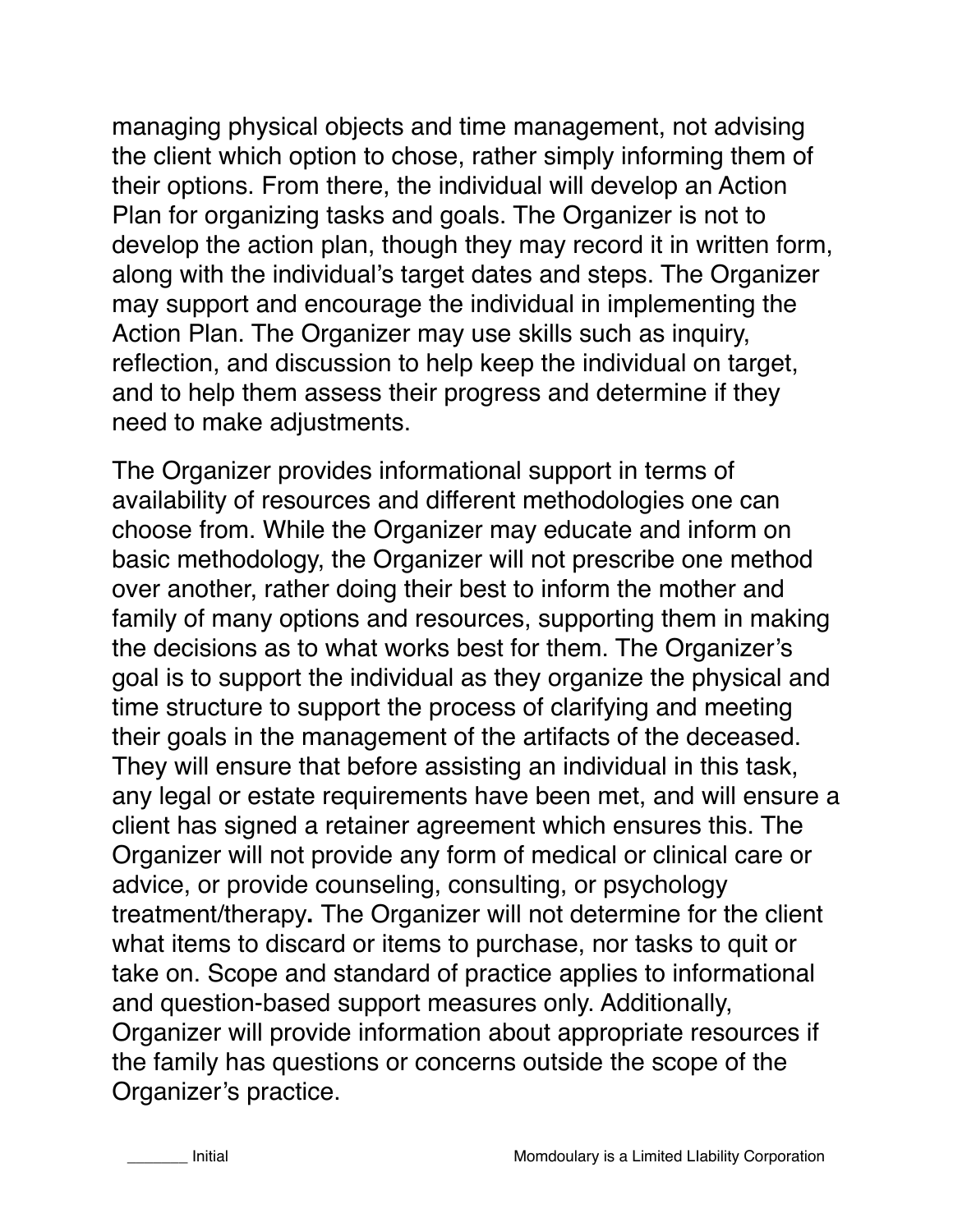managing physical objects and time management, not advising the client which option to chose, rather simply informing them of their options. From there, the individual will develop an Action Plan for organizing tasks and goals. The Organizer is not to develop the action plan, though they may record it in written form, along with the individual's target dates and steps. The Organizer may support and encourage the individual in implementing the Action Plan. The Organizer may use skills such as inquiry, reflection, and discussion to help keep the individual on target, and to help them assess their progress and determine if they need to make adjustments.

The Organizer provides informational support in terms of availability of resources and different methodologies one can choose from. While the Organizer may educate and inform on basic methodology, the Organizer will not prescribe one method over another, rather doing their best to inform the mother and family of many options and resources, supporting them in making the decisions as to what works best for them. The Organizer's goal is to support the individual as they organize the physical and time structure to support the process of clarifying and meeting their goals in the management of the artifacts of the deceased. They will ensure that before assisting an individual in this task, any legal or estate requirements have been met, and will ensure a client has signed a retainer agreement which ensures this. The Organizer will not provide any form of medical or clinical care or advice, or provide counseling, consulting, or psychology treatment/therapy**.** The Organizer will not determine for the client what items to discard or items to purchase, nor tasks to quit or take on. Scope and standard of practice applies to informational and question-based support measures only. Additionally, Organizer will provide information about appropriate resources if the family has questions or concerns outside the scope of the Organizer's practice.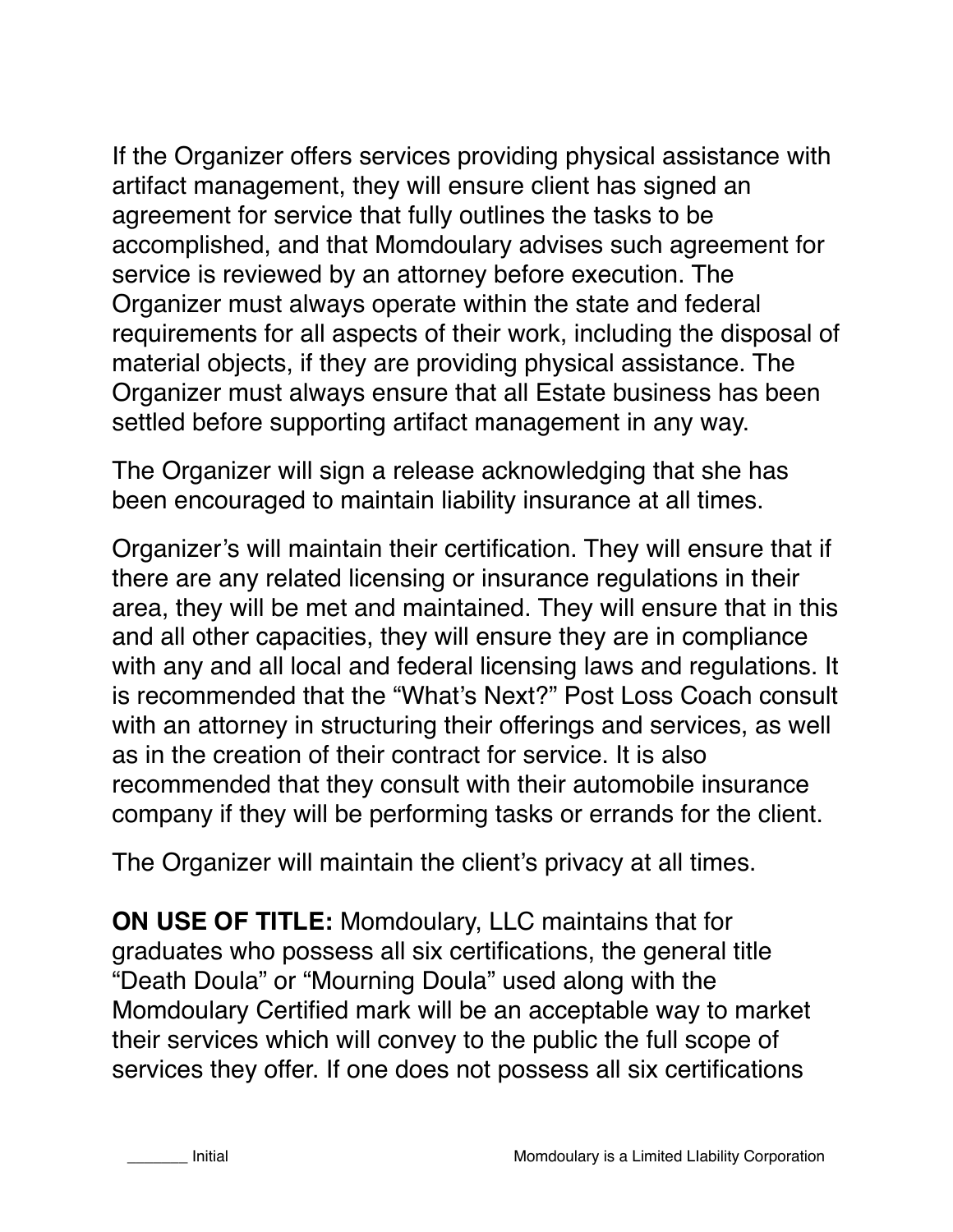If the Organizer offers services providing physical assistance with artifact management, they will ensure client has signed an agreement for service that fully outlines the tasks to be accomplished, and that Momdoulary advises such agreement for service is reviewed by an attorney before execution. The Organizer must always operate within the state and federal requirements for all aspects of their work, including the disposal of material objects, if they are providing physical assistance. The Organizer must always ensure that all Estate business has been settled before supporting artifact management in any way.

The Organizer will sign a release acknowledging that she has been encouraged to maintain liability insurance at all times.

Organizer's will maintain their certification. They will ensure that if there are any related licensing or insurance regulations in their area, they will be met and maintained. They will ensure that in this and all other capacities, they will ensure they are in compliance with any and all local and federal licensing laws and regulations. It is recommended that the "What's Next?" Post Loss Coach consult with an attorney in structuring their offerings and services, as well as in the creation of their contract for service. It is also recommended that they consult with their automobile insurance company if they will be performing tasks or errands for the client.

The Organizer will maintain the client's privacy at all times.

**ON USE OF TITLE:** Momdoulary, LLC maintains that for graduates who possess all six certifications, the general title "Death Doula" or "Mourning Doula" used along with the Momdoulary Certified mark will be an acceptable way to market their services which will convey to the public the full scope of services they offer. If one does not possess all six certifications